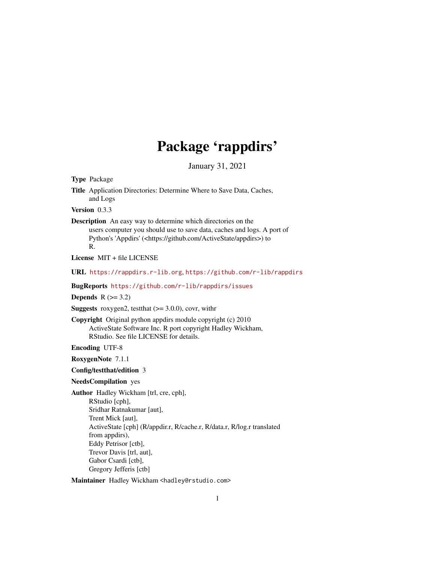## Package 'rappdirs'

January 31, 2021

<span id="page-0-0"></span>Type Package

Title Application Directories: Determine Where to Save Data, Caches, and Logs

Version 0.3.3

Description An easy way to determine which directories on the users computer you should use to save data, caches and logs. A port of Python's 'Appdirs' (<https://github.com/ActiveState/appdirs>) to R.

License MIT + file LICENSE

URL <https://rappdirs.r-lib.org>, <https://github.com/r-lib/rappdirs>

BugReports <https://github.com/r-lib/rappdirs/issues>

Depends  $R$  ( $> = 3.2$ )

**Suggests** roxygen2, test that  $(>= 3.0.0)$ , covr, with r

Copyright Original python appdirs module copyright (c) 2010 ActiveState Software Inc. R port copyright Hadley Wickham, RStudio. See file LICENSE for details.

Encoding UTF-8

RoxygenNote 7.1.1

Config/testthat/edition 3

#### NeedsCompilation yes

Author Hadley Wickham [trl, cre, cph], RStudio [cph], Sridhar Ratnakumar [aut], Trent Mick [aut], ActiveState [cph] (R/appdir.r, R/cache.r, R/data.r, R/log.r translated from appdirs), Eddy Petrisor [ctb], Trevor Davis [trl, aut], Gabor Csardi [ctb], Gregory Jefferis [ctb]

Maintainer Hadley Wickham <hadley@rstudio.com>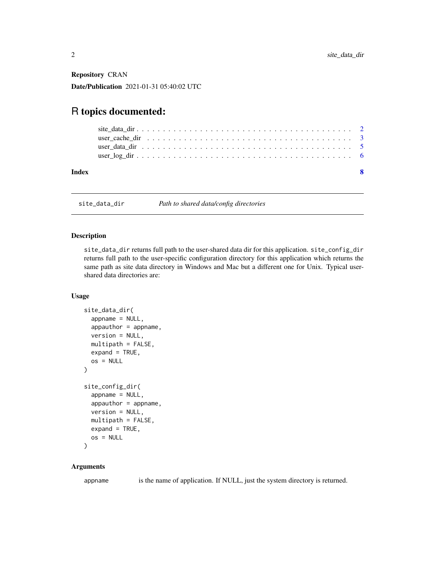<span id="page-1-0"></span>Repository CRAN

Date/Publication 2021-01-31 05:40:02 UTC

### R topics documented:

| Index |                                                                                                      |  |
|-------|------------------------------------------------------------------------------------------------------|--|
|       |                                                                                                      |  |
|       | user cache dir $\ldots \ldots \ldots \ldots \ldots \ldots \ldots \ldots \ldots \ldots \ldots \ldots$ |  |

site\_data\_dir *Path to shared data/config directories*

#### Description

site\_data\_dir returns full path to the user-shared data dir for this application. site\_config\_dir returns full path to the user-specific configuration directory for this application which returns the same path as site data directory in Windows and Mac but a different one for Unix. Typical usershared data directories are:

#### Usage

```
site_data_dir(
  appname = NULL,appauthor = appname,version = NULL,
 multipath = FALSE,
 expand = TRUE,os = NULL\lambdasite_config_dir(
  appname = NULL,appauthor = appname,
  version = NULL,
 multipath = FALSE,
 expand = TRUE,os = NULL
\lambda
```
#### Arguments

appname is the name of application. If NULL, just the system directory is returned.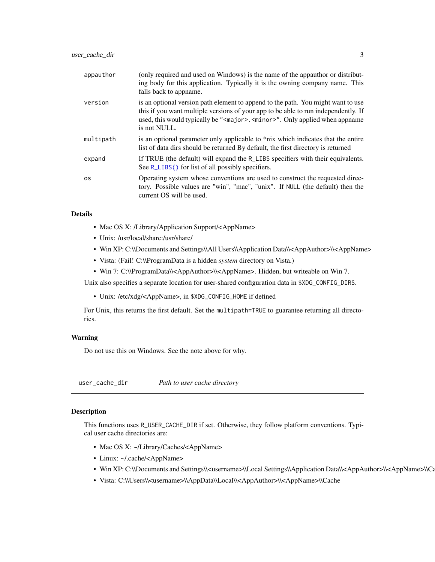<span id="page-2-0"></span>

| appauthor | (only required and used on Windows) is the name of the appauthor or distribut-<br>ing body for this application. Typically it is the owning company name. This<br>falls back to appname.                                                                                               |
|-----------|----------------------------------------------------------------------------------------------------------------------------------------------------------------------------------------------------------------------------------------------------------------------------------------|
| version   | is an optional version path element to append to the path. You might want to use<br>this if you want multiple versions of your app to be able to run independently. If<br>used, this would typically be " <major>.<minor>". Only applied when appname<br/>is not NULL.</minor></major> |
| multipath | is an optional parameter only applicable to *nix which indicates that the entire<br>list of data dirs should be returned By default, the first directory is returned                                                                                                                   |
| expand    | If TRUE (the default) will expand the R <sub>L</sub> LIBS specifiers with their equivalents.<br>See R_LIBS() for list of all possibly specifiers.                                                                                                                                      |
| <b>OS</b> | Operating system whose conventions are used to construct the requested direc-<br>tory. Possible values are "win", "mac", "unix". If NULL (the default) then the<br>current OS will be used.                                                                                            |

#### Details

- Mac OS X: /Library/Application Support/<AppName>
- Unix: /usr/local/share:/usr/share/
- Win XP: C:\\Documents and Settings\\All Users\\Application Data\\<AppAuthor>\\<AppName>
- Vista: (Fail! C:\\ProgramData is a hidden *system* directory on Vista.)
- Win 7: C:\\ProgramData\\<AppAuthor>\\<AppName>. Hidden, but writeable on Win 7.

Unix also specifies a separate location for user-shared configuration data in \$XDG\_CONFIG\_DIRS.

• Unix: /etc/xdg/<AppName>, in \$XDG\_CONFIG\_HOME if defined

For Unix, this returns the first default. Set the multipath=TRUE to guarantee returning all directories.

#### Warning

Do not use this on Windows. See the note above for why.

user\_cache\_dir *Path to user cache directory*

#### Description

This functions uses R\_USER\_CACHE\_DIR if set. Otherwise, they follow platform conventions. Typical user cache directories are:

- Mac OS X: ~/Library/Caches/<AppName>
- Linux: ~/.cache/<AppName>
- Win XP: C:\\Documents and Settings\\<username>\\Local Settings\\Application Data\\<AppAuthor>\\<AppName>\\Ca
- Vista: C:\\Users\\<username>\\AppData\\Local\\<AppAuthor>\\<AppName>\\Cache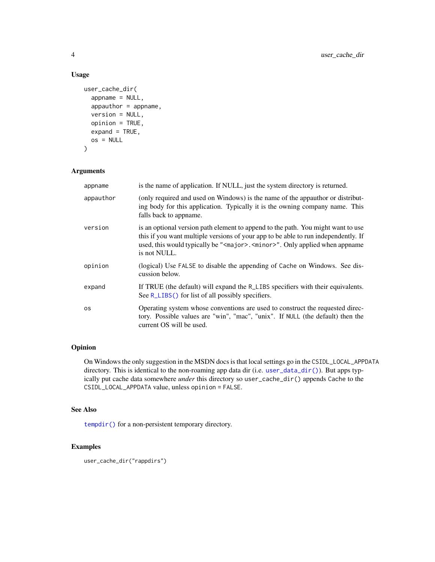#### Usage

```
user_cache_dir(
  appname = NULL,appauthor = appname,
 version = NULL,
 opinion = TRUE,
 expand = TRUE,os = NULL\mathcal{L}
```
#### Arguments

| appname   | is the name of application. If NULL, just the system directory is returned.                                                                                                                                                                                                            |
|-----------|----------------------------------------------------------------------------------------------------------------------------------------------------------------------------------------------------------------------------------------------------------------------------------------|
| appauthor | (only required and used on Windows) is the name of the appauthor or distribut-<br>ing body for this application. Typically it is the owning company name. This<br>falls back to appname.                                                                                               |
| version   | is an optional version path element to append to the path. You might want to use<br>this if you want multiple versions of your app to be able to run independently. If<br>used, this would typically be " <major>.<minor>". Only applied when appname<br/>is not NULL.</minor></major> |
| opinion   | (logical) Use FALSE to disable the appending of Cache on Windows. See dis-<br>cussion below.                                                                                                                                                                                           |
| expand    | If TRUE (the default) will expand the R_LIBS specifiers with their equivalents.<br>See R_LIBS() for list of all possibly specifiers.                                                                                                                                                   |
| 0S        | Operating system whose conventions are used to construct the requested direc-<br>tory. Possible values are "win", "mac", "unix". If NULL (the default) then the<br>current OS will be used.                                                                                            |

#### Opinion

On Windows the only suggestion in the MSDN docs is that local settings go in the CSIDL\_LOCAL\_APPDATA directory. This is identical to the non-roaming app data dir (i.e. [user\\_data\\_dir\(\)](#page-4-1)). But apps typically put cache data somewhere *under* this directory so user\_cache\_dir() appends Cache to the CSIDL\_LOCAL\_APPDATA value, unless opinion = FALSE.

#### See Also

[tempdir\(\)](#page-0-0) for a non-persistent temporary directory.

#### Examples

```
user_cache_dir("rappdirs")
```
<span id="page-3-0"></span>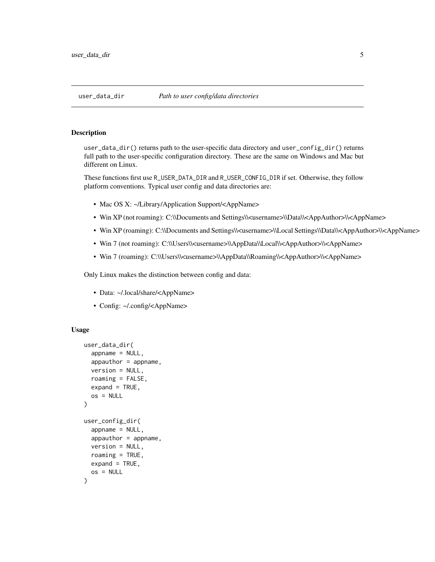<span id="page-4-1"></span><span id="page-4-0"></span>

#### Description

user\_data\_dir() returns path to the user-specific data directory and user\_config\_dir() returns full path to the user-specific configuration directory. These are the same on Windows and Mac but different on Linux.

These functions first use R\_USER\_DATA\_DIR and R\_USER\_CONFIG\_DIR if set. Otherwise, they follow platform conventions. Typical user config and data directories are:

- Mac OS X: ~/Library/Application Support/<AppName>
- Win XP (not roaming): C:\\Documents and Settings\\<username>\\Data\\<AppAuthor>\\<AppName>
- Win XP (roaming): C:\\Documents and Settings\\<username>\\Local Settings\\Data\\<AppAuthor>\\<AppName>
- Win 7 (not roaming): C:\\Users\\<username>\\AppData\\Local\\<AppAuthor>\\<AppName>
- Win 7 (roaming): C:\\Users\\<username>\\AppData\\Roaming\\<AppAuthor>\\<AppName>

Only Linux makes the distinction between config and data:

- Data: ~/.local/share/<AppName>
- Config: ~/.config/<AppName>

#### Usage

```
user_data_dir(
  appname = NULL,appauthor = appname,version = NULL,
  roaming = FALSE,expand = TRUE,os = NULL
)
user_config_dir(
  appname = NULL,appauthor = appname,
  version = NULL,
  roaming = TRUE,
  expand = TRUE,os = NULL
)
```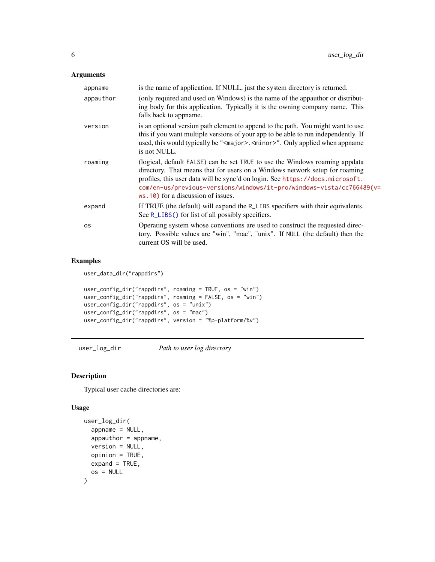#### <span id="page-5-0"></span>Arguments

| is the name of application. If NULL, just the system directory is returned.                                                                                                                                                                                                                                                                                  |
|--------------------------------------------------------------------------------------------------------------------------------------------------------------------------------------------------------------------------------------------------------------------------------------------------------------------------------------------------------------|
| (only required and used on Windows) is the name of the appauthor or distribut-<br>ing body for this application. Typically it is the owning company name. This<br>falls back to appname.                                                                                                                                                                     |
| is an optional version path element to append to the path. You might want to use<br>this if you want multiple versions of your app to be able to run independently. If<br>used, this would typically be " <major>.<minor>". Only applied when appname<br/>is not NULL.</minor></major>                                                                       |
| (logical, default FALSE) can be set TRUE to use the Windows roaming appdata<br>directory. That means that for users on a Windows network setup for roaming<br>profiles, this user data will be sync'd on login. See https://docs.microsoft.<br>com/en-us/previous-versions/windows/it-pro/windows-vista/cc766489(v=<br>$ws.10$ ) for a discussion of issues. |
| If TRUE (the default) will expand the R <sub>LIBS</sub> specifiers with their equivalents.<br>See R_LIBS() for list of all possibly specifiers.                                                                                                                                                                                                              |
| Operating system whose conventions are used to construct the requested direc-<br>tory. Possible values are "win", "mac", "unix". If NULL (the default) then the<br>current OS will be used.                                                                                                                                                                  |
|                                                                                                                                                                                                                                                                                                                                                              |

#### Examples

user\_data\_dir("rappdirs")

```
user_config_dir("rappdirs", roaming = TRUE, os = "win")
user_config_dir("rappdirs", roaming = FALSE, os = "win")
user_config_dir("rappdirs", os = "unix")
user_config_dir("rappdirs", os = "mac")
user_config_dir("rappdirs", version = "%p-platform/%v")
```
user\_log\_dir *Path to user log directory*

#### Description

Typical user cache directories are:

#### Usage

```
user_log_dir(
  appname = NULL,
  appauthor = appname,
  version = NULL,
  opinion = TRUE,
  expand = TRUE,os = NULL
\mathcal{E}
```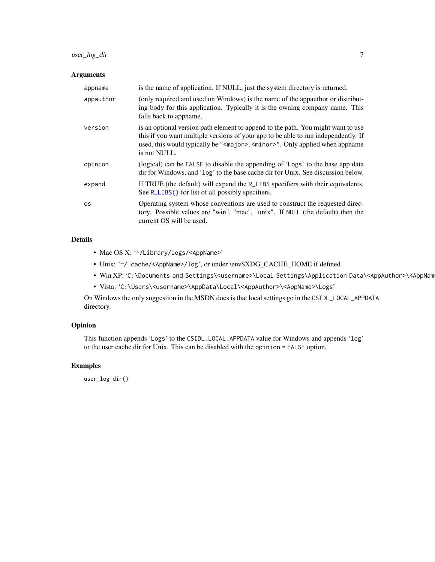#### <span id="page-6-0"></span>user\_log\_dir 7

#### Arguments

| appname   | is the name of application. If NULL, just the system directory is returned.                                                                                                                                                                                                            |
|-----------|----------------------------------------------------------------------------------------------------------------------------------------------------------------------------------------------------------------------------------------------------------------------------------------|
| appauthor | (only required and used on Windows) is the name of the appauth or distribut-<br>ing body for this application. Typically it is the owning company name. This<br>falls back to appname.                                                                                                 |
| version   | is an optional version path element to append to the path. You might want to use<br>this if you want multiple versions of your app to be able to run independently. If<br>used, this would typically be " <major>.<minor>". Only applied when appname<br/>is not NULL.</minor></major> |
| opinion   | (logical) can be FALSE to disable the appending of 'Logs' to the base app data<br>dir for Windows, and 'log' to the base cache dir for Unix. See discussion below.                                                                                                                     |
| expand    | If TRUE (the default) will expand the R_LIBS specifiers with their equivalents.<br>See R_LIBS() for list of all possibly specifiers.                                                                                                                                                   |
| <b>OS</b> | Operating system whose conventions are used to construct the requested direc-<br>tory. Possible values are "win", "mac", "unix". If NULL (the default) then the<br>current OS will be used.                                                                                            |

#### Details

- Mac OS X: '~/Library/Logs/<AppName>'
- Unix: '~/.cache/<AppName>/log', or under \env\$XDG\_CACHE\_HOME if defined
- Win XP: 'C:\Documents and Settings\<username>\Local Settings\Application Data\<AppAuthor>\<AppNam
- Vista: 'C:\Users\<username>\AppData\Local\<AppAuthor>\<AppName>\Logs'

On Windows the only suggestion in the MSDN docs is that local settings go in the CSIDL\_LOCAL\_APPDATA directory.

#### Opinion

This function appends 'Logs' to the CSIDL\_LOCAL\_APPDATA value for Windows and appends 'log' to the user cache dir for Unix. This can be disabled with the opinion = FALSE option.

#### Examples

user\_log\_dir()